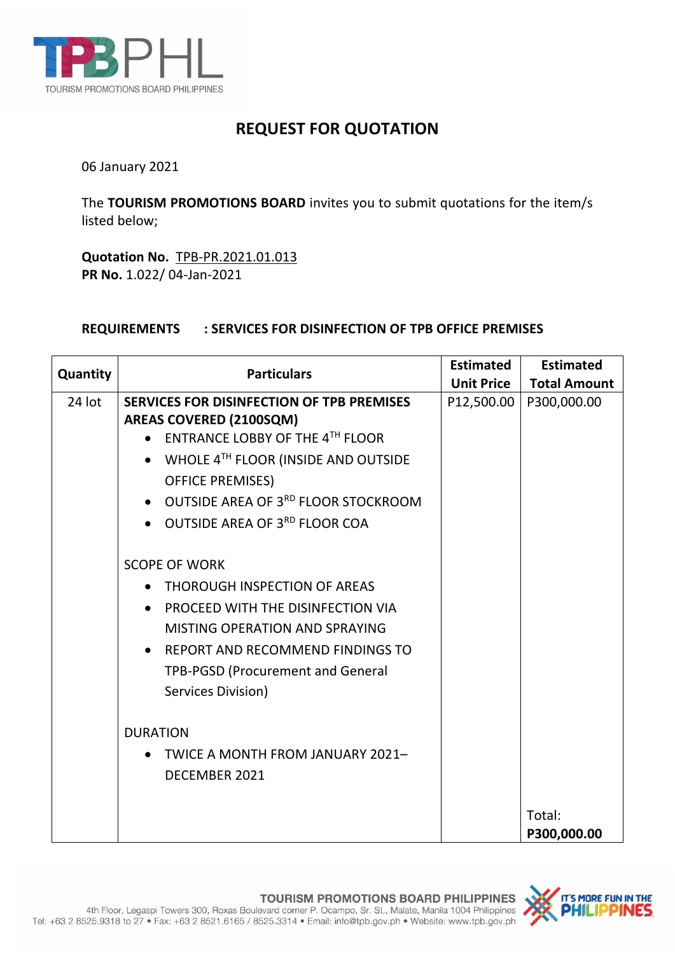

## **REQUEST FOR QUOTATION**

06 January 2021

The **TOURISM PROMOTIONS BOARD** invites you to submit quotations for the item/s listed below;

**Quotation No.** TPB-PR.2021.01.013 **PR No.** 1.022/ 04-Jan-2021

## **REQUIREMENTS : SERVICES FOR DISINFECTION OF TPB OFFICE PREMISES**

| Quantity | <b>Particulars</b>                                   | <b>Estimated</b>  | <b>Estimated</b>    |
|----------|------------------------------------------------------|-------------------|---------------------|
|          |                                                      | <b>Unit Price</b> | <b>Total Amount</b> |
| 24 lot   | SERVICES FOR DISINFECTION OF TPB PREMISES            | P12,500.00        | P300,000.00         |
|          | <b>AREAS COVERED (2100SQM)</b>                       |                   |                     |
|          | ENTRANCE LOBBY OF THE 4TH FLOOR                      |                   |                     |
|          | WHOLE 4TH FLOOR (INSIDE AND OUTSIDE                  |                   |                     |
|          | <b>OFFICE PREMISES)</b>                              |                   |                     |
|          | • OUTSIDE AREA OF 3 <sup>RD</sup> FLOOR STOCKROOM    |                   |                     |
|          | OUTSIDE AREA OF 3 <sup>RD</sup> FLOOR COA            |                   |                     |
|          | <b>SCOPE OF WORK</b>                                 |                   |                     |
|          | THOROUGH INSPECTION OF AREAS<br>$\bullet$            |                   |                     |
|          | PROCEED WITH THE DISINFECTION VIA<br>$\bullet$       |                   |                     |
|          | <b>MISTING OPERATION AND SPRAYING</b>                |                   |                     |
|          | <b>REPORT AND RECOMMEND FINDINGS TO</b><br>$\bullet$ |                   |                     |
|          | <b>TPB-PGSD (Procurement and General</b>             |                   |                     |
|          | Services Division)                                   |                   |                     |
|          |                                                      |                   |                     |
|          | <b>DURATION</b>                                      |                   |                     |
|          | TWICE A MONTH FROM JANUARY 2021-                     |                   |                     |
|          | DECEMBER 2021                                        |                   |                     |
|          |                                                      |                   |                     |
|          |                                                      |                   | Total:              |
|          |                                                      |                   | P300,000.00         |